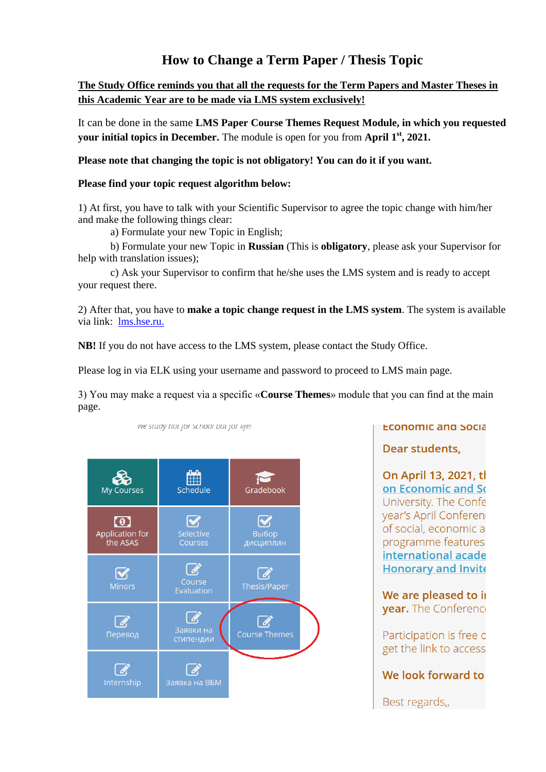## **How to Change a Term Paper / Thesis Topic**

## **The Study Office reminds you that all the requests for the Term Papers and Master Theses in this Academic Year are to be made via LMS system exclusively!**

It can be done in the same **LMS Paper Course Themes Request Module, in which you requested your initial topics in December.** The module is open for you from **April 1**<sup>st</sup>, 2021.

**Please note that changing the topic is not obligatory! You can do it if you want.** 

## **Please find your topic request algorithm below:**

1) At first, you have to talk with your Scientific Supervisor to agree the topic change with him/her and make the following things clear:

a) Formulate your new Topic in English;

we study not for school but for ille!

b) Formulate your new Topic in **Russian** (This is **obligatory**, please ask your Supervisor for help with translation issues);

c) Ask your Supervisor to confirm that he/she uses the LMS system and is ready to accept your request there.

2) After that, you have to **make a topic change request in the LMS system**. The system is available via link: [lms.hse.ru.](llms.hse.ru)

**NB!** If you do not have access to the LMS system, please contact the Study Office.

Please log in via ELK using your username and password to proceed to LMS main page.

3) You may make a request via a specific «**Course Themes**» module that you can find at the main page.



**ECONOMIC and SOCIA** 

Dear students.

On April 13, 2021, tl on Economic and So University. The Confe year's April Conferen of social, economic a programme features international acade **Honorary and Invite** 

We are pleased to in **vear.** The Conference

Participation is free o get the link to access

We look forward to

Best regards,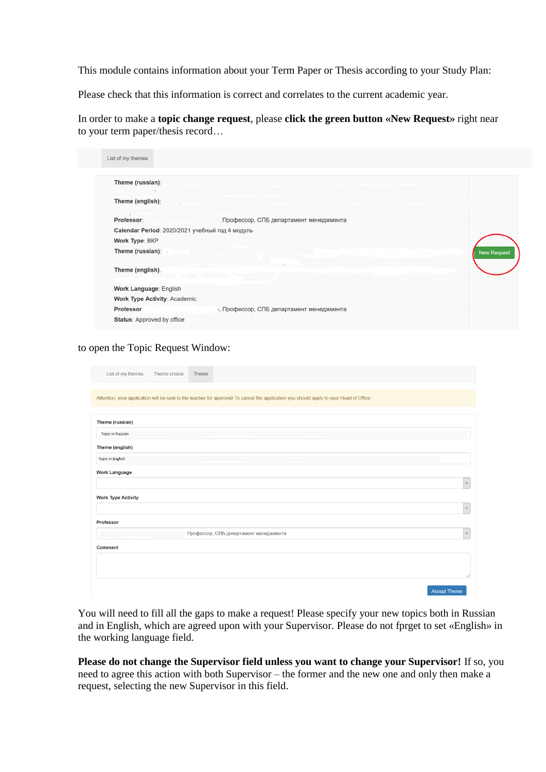This module contains information about your Term Paper or Thesis according to your Study Plan:

Please check that this information is correct and correlates to the current academic year.

In order to make a **topic change request**, please **click the green button «New Request»** right near to your term paper/thesis record…

| List of my themes                               |                                           |                    |
|-------------------------------------------------|-------------------------------------------|--------------------|
| Theme (russian):                                |                                           |                    |
| Theme (english):                                |                                           |                    |
| Professor:                                      | Профессор, СПБ департамент менеджмента    |                    |
| Calendar Period: 2020/2021 учебный год 4 модуль |                                           |                    |
| <b>Work Type: BKP</b>                           |                                           |                    |
| Theme (russian):                                |                                           | <b>New Request</b> |
| Theme (english).                                |                                           |                    |
| Work Language: English                          |                                           |                    |
| <b>Work Type Activity: Academic</b>             |                                           |                    |
| <b>Professor</b>                                | -, Профессор, СПБ департамент менеджмента |                    |
| <b>Status: Approved by office</b>               |                                           |                    |

to open the Topic Request Window:

| List of my themes         | Theme choice<br>Theme                  |                                                                                                                                          |                     |
|---------------------------|----------------------------------------|------------------------------------------------------------------------------------------------------------------------------------------|---------------------|
|                           |                                        | Attention: your application will be sent to the teacher for approval! To cancel the application you should apply to your Head of Office. |                     |
| Theme (russian)           |                                        |                                                                                                                                          |                     |
| <b>Topic in Russian</b>   |                                        |                                                                                                                                          |                     |
| Theme (english)           |                                        |                                                                                                                                          |                     |
| <b>Topic in English</b>   |                                        |                                                                                                                                          |                     |
| <b>Work Language</b>      |                                        |                                                                                                                                          |                     |
|                           |                                        |                                                                                                                                          | $\checkmark$        |
| <b>Work Type Activity</b> |                                        |                                                                                                                                          |                     |
|                           |                                        |                                                                                                                                          | $\checkmark$        |
| Professor                 |                                        |                                                                                                                                          |                     |
|                           | Профессор, СПБ департамент менеджмента |                                                                                                                                          | $\checkmark$        |
| Comment                   |                                        |                                                                                                                                          |                     |
|                           |                                        |                                                                                                                                          |                     |
|                           |                                        |                                                                                                                                          | ai.                 |
|                           |                                        |                                                                                                                                          | <b>Accept Theme</b> |

You will need to fill all the gaps to make a request! Please specify your new topics both in Russian and in English, which are agreed upon with your Supervisor. Please do not fprget to set «English» in the working language field.

**Please do not change the Supervisor field unless you want to change your Supervisor!** If so, you need to agree this action with both Supervisor – the former and the new one and only then make a request, selecting the new Supervisor in this field.